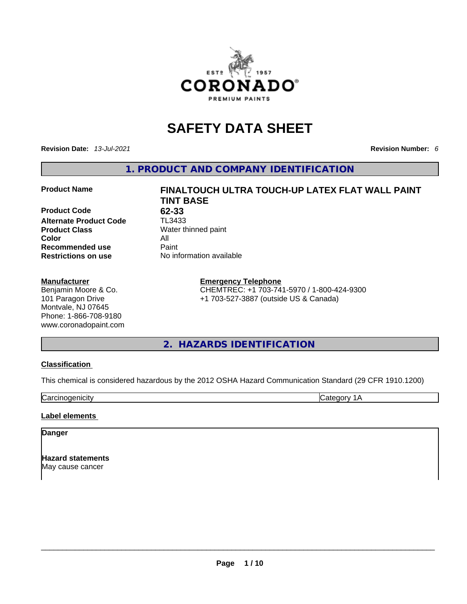

# **SAFETY DATA SHEET**

**Revision Date:** *13-Jul-2021* **Revision Number:** *6*

**1. PRODUCT AND COMPANY IDENTIFICATION** 

**Product Code 62-33**<br>**Alternate Product Code** TL3433 **Alternate Product Code Product Class Water thinned paint Color** All **Recommended use Paint Restrictions on use** No information available

#### **Manufacturer**

Benjamin Moore & Co. 101 Paragon Drive Montvale, NJ 07645 Phone: 1-866-708-9180 www.coronadopaint.com

# **Product Name FINALTOUCH ULTRA TOUCH-UP LATEX FLAT WALL PAINT TINT BASE**

#### **Emergency Telephone**

CHEMTREC: +1 703-741-5970 / 1-800-424-9300 +1 703-527-3887 (outside US & Canada)

## **2. HAZARDS IDENTIFICATION**

#### **Classification**

This chemical is considered hazardous by the 2012 OSHA Hazard Communication Standard (29 CFR 1910.1200)

Carcinogenicity **Category 1A** 

#### **Label elements**

#### **Danger**

**Hazard statements** May cause cancer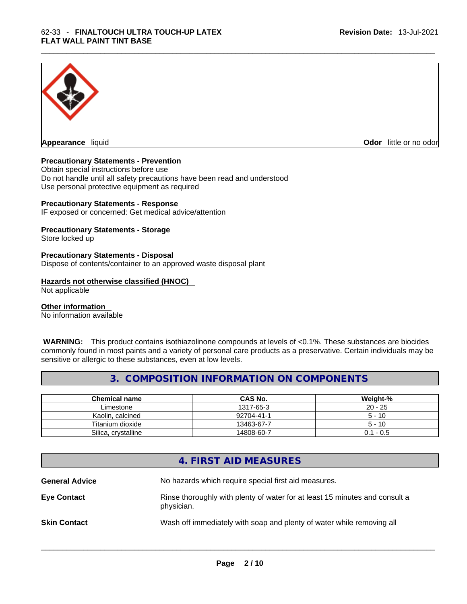

**Appearance** liquid **Odor 11** and **Odor 11** and **Odor 11** and **Odor 11** and **Odor 11** and **Odor** 11 and **Odor** 11 and **Odor** 11 and **Odor** 11 and **Odor** 11 and **Odor** 11 and **Odor** 11 and **Odor** 11 and **Odor** 11 and **Odor** 

#### **Precautionary Statements - Prevention**

Obtain special instructions before use Do not handle until all safety precautions have been read and understood Use personal protective equipment as required

#### **Precautionary Statements - Response**

IF exposed or concerned: Get medical advice/attention

### **Precautionary Statements - Storage**

Store locked up

#### **Precautionary Statements - Disposal**

Dispose of contents/container to an approved waste disposal plant

#### **Hazards not otherwise classified (HNOC)**

Not applicable

#### **Other information**

No information available

 **WARNING:** This product contains isothiazolinone compounds at levels of <0.1%. These substances are biocides commonly found in most paints and a variety of personal care products as a preservative. Certain individuals may be sensitive or allergic to these substances, even at low levels.

## **3. COMPOSITION INFORMATION ON COMPONENTS**

| <b>Chemical name</b> | <b>CAS No.</b> | Weight-%    |
|----------------------|----------------|-------------|
| Limestone            | 1317-65-3      | $20 - 25$   |
| Kaolin, calcined     | 92704-41-1     | $5 - 10$    |
| Titanium dioxide     | 13463-67-7     | $5 - 10$    |
| Silica, crystalline  | 14808-60-7     | $0.1 - 0.5$ |

## **4. FIRST AID MEASURES**

**General Advice** No hazards which require special first aid measures. **Eye Contact** Rinse thoroughly with plenty of water for at least 15 minutes and consult a physician. **Skin Contact Wash off immediately with soap and plenty of water while removing all**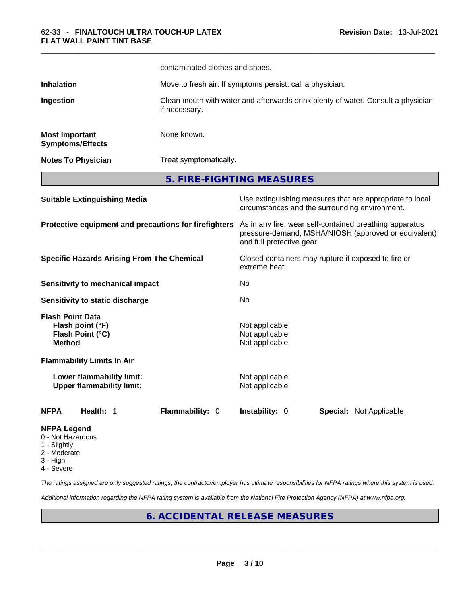|                                                                                  |                                                                                                   | contaminated clothes and shoes.                                                                                                              |  |  |
|----------------------------------------------------------------------------------|---------------------------------------------------------------------------------------------------|----------------------------------------------------------------------------------------------------------------------------------------------|--|--|
| <b>Inhalation</b>                                                                |                                                                                                   | Move to fresh air. If symptoms persist, call a physician.                                                                                    |  |  |
| Ingestion                                                                        | Clean mouth with water and afterwards drink plenty of water. Consult a physician<br>if necessary. |                                                                                                                                              |  |  |
| <b>Most Important</b><br><b>Symptoms/Effects</b>                                 | None known.                                                                                       |                                                                                                                                              |  |  |
| <b>Notes To Physician</b>                                                        | Treat symptomatically.                                                                            |                                                                                                                                              |  |  |
|                                                                                  |                                                                                                   | 5. FIRE-FIGHTING MEASURES                                                                                                                    |  |  |
| <b>Suitable Extinguishing Media</b>                                              |                                                                                                   | Use extinguishing measures that are appropriate to local<br>circumstances and the surrounding environment.                                   |  |  |
| Protective equipment and precautions for firefighters                            |                                                                                                   | As in any fire, wear self-contained breathing apparatus<br>pressure-demand, MSHA/NIOSH (approved or equivalent)<br>and full protective gear. |  |  |
| <b>Specific Hazards Arising From The Chemical</b>                                |                                                                                                   | Closed containers may rupture if exposed to fire or<br>extreme heat.                                                                         |  |  |
| Sensitivity to mechanical impact                                                 |                                                                                                   | No                                                                                                                                           |  |  |
| Sensitivity to static discharge                                                  |                                                                                                   | No                                                                                                                                           |  |  |
| <b>Flash Point Data</b><br>Flash point (°F)<br>Flash Point (°C)<br><b>Method</b> |                                                                                                   | Not applicable<br>Not applicable<br>Not applicable                                                                                           |  |  |
| <b>Flammability Limits In Air</b>                                                |                                                                                                   |                                                                                                                                              |  |  |
| Lower flammability limit:<br><b>Upper flammability limit:</b>                    |                                                                                                   | Not applicable<br>Not applicable                                                                                                             |  |  |
| Health: 1<br>NFPA                                                                | Flammability: 0                                                                                   | Instability: 0<br>Special: Not Applicable                                                                                                    |  |  |
| NFPA Legend<br>0 - Not Hazardous                                                 |                                                                                                   |                                                                                                                                              |  |  |

- 1 Slightly
- 2 Moderate
- 3 High
- 4 Severe

*The ratings assigned are only suggested ratings, the contractor/employer has ultimate responsibilities for NFPA ratings where this system is used.* 

*Additional information regarding the NFPA rating system is available from the National Fire Protection Agency (NFPA) at www.nfpa.org.* 

## **6. ACCIDENTAL RELEASE MEASURES**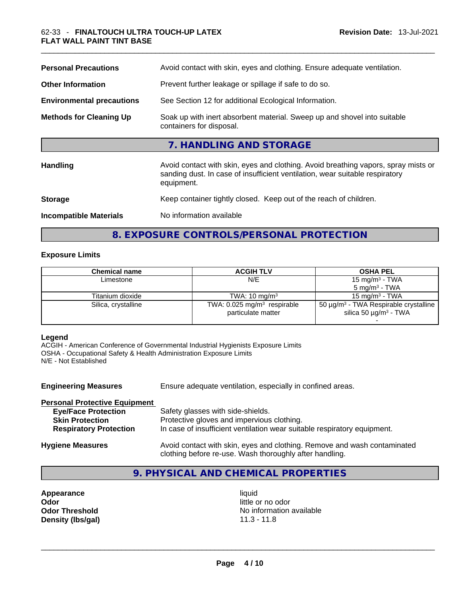| <b>Personal Precautions</b>      | Avoid contact with skin, eyes and clothing. Ensure adequate ventilation.                                                                                                         |
|----------------------------------|----------------------------------------------------------------------------------------------------------------------------------------------------------------------------------|
| <b>Other Information</b>         | Prevent further leakage or spillage if safe to do so.                                                                                                                            |
| <b>Environmental precautions</b> | See Section 12 for additional Ecological Information.                                                                                                                            |
| <b>Methods for Cleaning Up</b>   | Soak up with inert absorbent material. Sweep up and shovel into suitable<br>containers for disposal.                                                                             |
|                                  | 7. HANDLING AND STORAGE                                                                                                                                                          |
| <b>Handling</b>                  | Avoid contact with skin, eyes and clothing. Avoid breathing vapors, spray mists or<br>sanding dust. In case of insufficient ventilation, wear suitable respiratory<br>equipment. |
| <b>Storage</b>                   | Keep container tightly closed. Keep out of the reach of children.                                                                                                                |
| <b>Incompatible Materials</b>    | No information available                                                                                                                                                         |

## **8. EXPOSURE CONTROLS/PERSONAL PROTECTION**

#### **Exposure Limits**

| Chemical name       | <b>ACGIH TLV</b>                                                | <b>OSHA PEL</b>                                                                                  |
|---------------------|-----------------------------------------------------------------|--------------------------------------------------------------------------------------------------|
| Limestone           | N/E                                                             | 15 mg/m $3$ - TWA                                                                                |
|                     |                                                                 | $5 \text{ mg/m}^3$ - TWA                                                                         |
| Titanium dioxide    | TWA: $10 \text{ mg/m}^3$                                        | 15 mg/m $3$ - TWA                                                                                |
| Silica, crystalline | TWA: $0.025$ mg/m <sup>3</sup> respirable<br>particulate matter | 50 $\mu$ g/m <sup>3</sup> - TWA Respirable crystalline<br>silica 50 $\mu$ g/m <sup>3</sup> - TWA |
|                     |                                                                 |                                                                                                  |

#### **Legend**

ACGIH - American Conference of Governmental Industrial Hygienists Exposure Limits OSHA - Occupational Safety & Health Administration Exposure Limits N/E - Not Established

| <b>Engineering Measures</b>          | Ensure adequate ventilation, especially in confined areas.                                                                          |
|--------------------------------------|-------------------------------------------------------------------------------------------------------------------------------------|
| <b>Personal Protective Equipment</b> |                                                                                                                                     |
| <b>Eye/Face Protection</b>           | Safety glasses with side-shields.                                                                                                   |
| <b>Skin Protection</b>               | Protective gloves and impervious clothing.                                                                                          |
| <b>Respiratory Protection</b>        | In case of insufficient ventilation wear suitable respiratory equipment.                                                            |
| <b>Hygiene Measures</b>              | Avoid contact with skin, eyes and clothing. Remove and wash contaminated<br>clothing before re-use. Wash thoroughly after handling. |

## **9. PHYSICAL AND CHEMICAL PROPERTIES**

**Appearance liquid Odor** little or no odor

**Odor Threshold** No information available **Density (lbs/gal)** 11.3 - 11.8 \_\_\_\_\_\_\_\_\_\_\_\_\_\_\_\_\_\_\_\_\_\_\_\_\_\_\_\_\_\_\_\_\_\_\_\_\_\_\_\_\_\_\_\_\_\_\_\_\_\_\_\_\_\_\_\_\_\_\_\_\_\_\_\_\_\_\_\_\_\_\_\_\_\_\_\_\_\_\_\_\_\_\_\_\_\_\_\_\_\_\_\_\_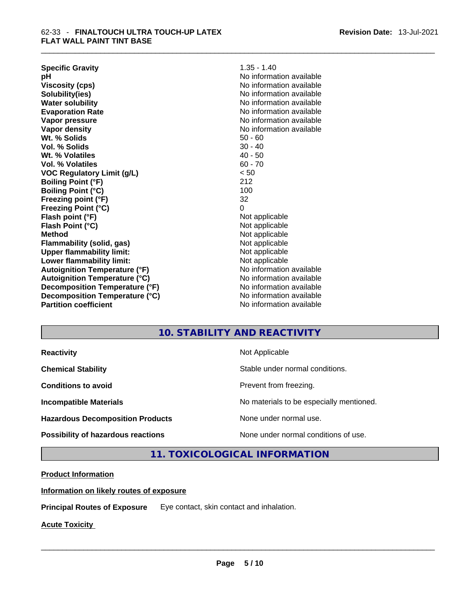| <b>Specific Gravity</b>              | $1.35 - 1.40$            |
|--------------------------------------|--------------------------|
| рH                                   | No information available |
| <b>Viscosity (cps)</b>               | No information available |
| Solubility(ies)                      | No information available |
| <b>Water solubility</b>              | No information available |
| <b>Evaporation Rate</b>              | No information available |
| Vapor pressure                       | No information available |
| Vapor density                        | No information available |
| Wt. % Solids                         | $50 - 60$                |
| Vol. % Solids                        | $30 - 40$                |
| Wt. % Volatiles                      | $40 - 50$                |
| Vol. % Volatiles                     | $60 - 70$                |
| <b>VOC Regulatory Limit (g/L)</b>    | < 50                     |
| <b>Boiling Point (°F)</b>            | 212                      |
| <b>Boiling Point (°C)</b>            | 100                      |
| Freezing point (°F)                  | 32                       |
| <b>Freezing Point (°C)</b>           | 0                        |
| Flash point (°F)                     | Not applicable           |
| Flash Point (°C)                     | Not applicable           |
| <b>Method</b>                        | Not applicable           |
| Flammability (solid, gas)            | Not applicable           |
| <b>Upper flammability limit:</b>     | Not applicable           |
| Lower flammability limit:            | Not applicable           |
| <b>Autoignition Temperature (°F)</b> | No information available |
| <b>Autoignition Temperature (°C)</b> | No information available |
| Decomposition Temperature (°F)       | No information available |
| Decomposition Temperature (°C)       | No information available |
| <b>Partition coefficient</b>         | No information available |

## **10. STABILITY AND REACTIVITY**

| <b>Reactivity</b> |  |
|-------------------|--|
|                   |  |

**Hazardous Decomposition Products** None under normal use.

**Not Applicable** 

**Chemical Stability Chemical Stability** Stable under normal conditions.

**Conditions to avoid Conditions to avoid Prevent from freezing.** 

**Incompatible Materials Materials Materials No materials to be especially mentioned.** 

**Possibility of hazardous reactions** None under normal conditions of use.

**11. TOXICOLOGICAL INFORMATION** 

**Product Information**

**Information on likely routes of exposure**

**Principal Routes of Exposure** Eye contact, skin contact and inhalation.

**Acute Toxicity**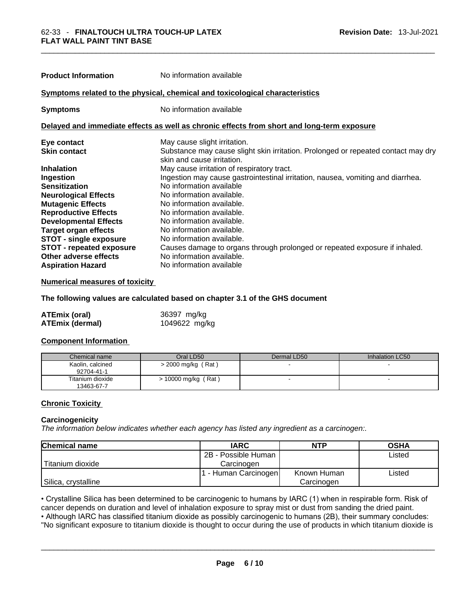| <b>Product Information</b>      | No information available                                                                                        |
|---------------------------------|-----------------------------------------------------------------------------------------------------------------|
|                                 |                                                                                                                 |
|                                 | Symptoms related to the physical, chemical and toxicological characteristics                                    |
| <b>Symptoms</b>                 | No information available                                                                                        |
|                                 | Delayed and immediate effects as well as chronic effects from short and long-term exposure                      |
| Eye contact                     | May cause slight irritation.                                                                                    |
| <b>Skin contact</b>             | Substance may cause slight skin irritation. Prolonged or repeated contact may dry<br>skin and cause irritation. |
| <b>Inhalation</b>               | May cause irritation of respiratory tract.                                                                      |
| Ingestion                       | Ingestion may cause gastrointestinal irritation, nausea, vomiting and diarrhea.                                 |
| <b>Sensitization</b>            | No information available                                                                                        |
| <b>Neurological Effects</b>     | No information available.                                                                                       |
| <b>Mutagenic Effects</b>        | No information available.                                                                                       |
| <b>Reproductive Effects</b>     | No information available.                                                                                       |
| <b>Developmental Effects</b>    | No information available.                                                                                       |
| <b>Target organ effects</b>     | No information available.                                                                                       |
| <b>STOT - single exposure</b>   | No information available.                                                                                       |
| <b>STOT - repeated exposure</b> | Causes damage to organs through prolonged or repeated exposure if inhaled.                                      |
| Other adverse effects           | No information available.                                                                                       |
| <b>Aspiration Hazard</b>        | No information available                                                                                        |

#### **Numerical measures of toxicity**

#### **The following values are calculated based on chapter 3.1 of the GHS document**

| <b>ATEmix (oral)</b>   | 36397 mg/kg   |
|------------------------|---------------|
| <b>ATEmix (dermal)</b> | 1049622 mg/kg |

#### **Component Information**

| Chemical name                  | Oral LD50             | Dermal LD50 | Inhalation LC50 |
|--------------------------------|-----------------------|-------------|-----------------|
| Kaolin, calcined<br>92704-41-1 | > 2000 mg/kg (Rat)    |             |                 |
| Titanium dioxide<br>13463-67-7 | $> 10000$ mg/kg (Rat) |             |                 |

#### **Chronic Toxicity**

#### **Carcinogenicity**

*The information below indicates whether each agency has listed any ingredient as a carcinogen:.* 

| <b>Chemical name</b> | <b>IARC</b>          | <b>NTP</b>  | <b>OSHA</b> |
|----------------------|----------------------|-------------|-------------|
|                      | 2B - Possible Human  |             | Listed      |
| l Titanium dioxide   | Carcinogen           |             |             |
|                      | 1 - Human Carcinogen | Known Human | ∟isted      |
| Silica, crystalline  |                      | Carcinogen  |             |

• Crystalline Silica has been determined to be carcinogenic to humans by IARC (1) when in respirable form. Risk of cancer depends on duration and level of inhalation exposure to spray mist or dust from sanding the dried paint.• Although IARC has classified titanium dioxide as possibly carcinogenic to humans (2B), their summary concludes:

"No significant exposure to titanium dioxide is thought to occur during the use of products in which titanium dioxide is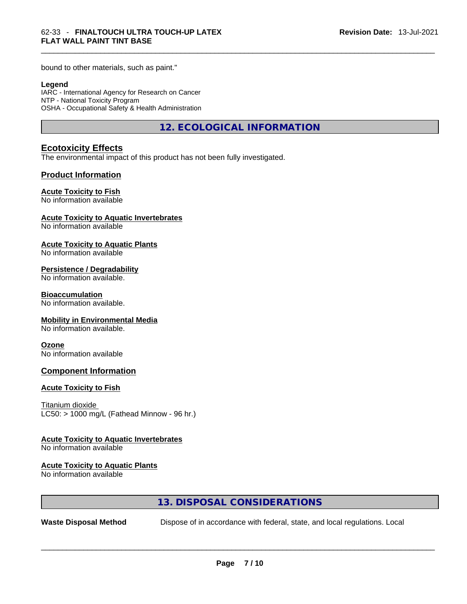bound to other materials, such as paint."

#### **Legend**

IARC - International Agency for Research on Cancer NTP - National Toxicity Program OSHA - Occupational Safety & Health Administration

**12. ECOLOGICAL INFORMATION** 

#### **Ecotoxicity Effects**

The environmental impact of this product has not been fully investigated.

#### **Product Information**

#### **Acute Toxicity to Fish**

No information available

#### **Acute Toxicity to Aquatic Invertebrates**

No information available

#### **Acute Toxicity to Aquatic Plants**

No information available

#### **Persistence / Degradability**

No information available.

#### **Bioaccumulation**

No information available.

#### **Mobility in Environmental Media**

No information available.

#### **Ozone**

No information available

#### **Component Information**

#### **Acute Toxicity to Fish**

Titanium dioxide  $LC50:$  > 1000 mg/L (Fathead Minnow - 96 hr.)

#### **Acute Toxicity to Aquatic Invertebrates**

No information available

#### **Acute Toxicity to Aquatic Plants**

No information available

### **13. DISPOSAL CONSIDERATIONS**

**Waste Disposal Method** Dispose of in accordance with federal, state, and local regulations. Local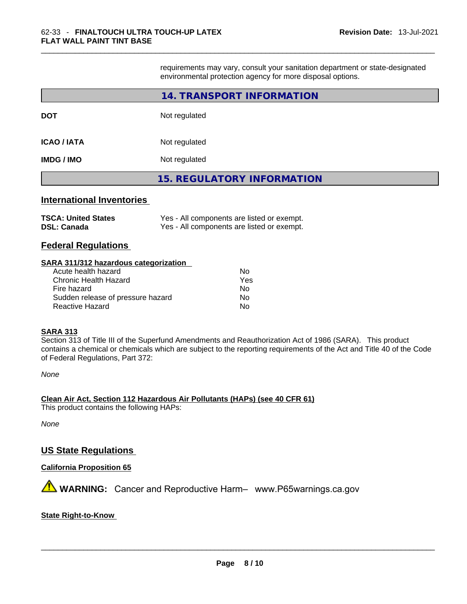requirements may vary, consult your sanitation department or state-designated environmental protection agency for more disposal options.

|                                  | 14. TRANSPORT INFORMATION                 |
|----------------------------------|-------------------------------------------|
| DOT                              | Not regulated                             |
| <b>ICAO / IATA</b>               | Not regulated                             |
| IMDG / IMO                       | Not regulated                             |
|                                  | <b>15. REGULATORY INFORMATION</b>         |
| <b>International Inventories</b> |                                           |
| <b>Satet2 hatinll · ANST</b>     | Vae - All componante ara lietad or avampt |

| <b>TSCA: United States</b> | Yes - All components are listed or exempt. |
|----------------------------|--------------------------------------------|
| <b>DSL: Canada</b>         | Yes - All components are listed or exempt. |

#### **Federal Regulations**

#### **SARA 311/312 hazardous categorization**

| Acute health hazard               | Nο  |
|-----------------------------------|-----|
| Chronic Health Hazard             | Yes |
| Fire hazard                       | Nο  |
| Sudden release of pressure hazard | No  |
| Reactive Hazard                   | N٥  |

#### **SARA 313**

Section 313 of Title III of the Superfund Amendments and Reauthorization Act of 1986 (SARA). This product contains a chemical or chemicals which are subject to the reporting requirements of the Act and Title 40 of the Code of Federal Regulations, Part 372:

*None*

**Clean Air Act,Section 112 Hazardous Air Pollutants (HAPs) (see 40 CFR 61)** This product contains the following HAPs:

*None*

## **US State Regulations**

#### **California Proposition 65**

 **WARNING:** Cancer and Reproductive Harm– www.P65warnings.ca.gov

#### **State Right-to-Know**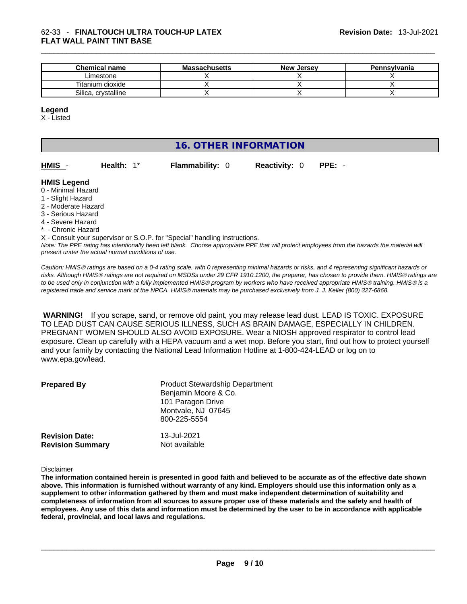| <b>Chemical name</b> | <b>Massachusetts</b> | <b>New Jersey</b> | <b>Pennsylvania</b> |
|----------------------|----------------------|-------------------|---------------------|
| Limestone            |                      |                   |                     |
| Titanium dioxide     |                      |                   |                     |
| Silica, crystalline  |                      |                   |                     |

#### **Legend**

X - Listed

## **16. OTHER INFORMATION**

| HMIS - | Health: $1^*$ | <b>Flammability: 0</b> | <b>Reactivity: 0 PPE: -</b> |  |
|--------|---------------|------------------------|-----------------------------|--|
|        |               |                        |                             |  |

#### **HMIS Legend**

- 0 Minimal Hazard
- 1 Slight Hazard
- 2 Moderate Hazard
- 3 Serious Hazard
- 4 Severe Hazard
- Chronic Hazard

X - Consult your supervisor or S.O.P. for "Special" handling instructions.

Note: The PPE rating has intentionally been left blank. Choose appropriate PPE that will protect employees from the hazards the material will *present under the actual normal conditions of use.* 

*Caution: HMISÒ ratings are based on a 0-4 rating scale, with 0 representing minimal hazards or risks, and 4 representing significant hazards or risks. Although HMISÒ ratings are not required on MSDSs under 29 CFR 1910.1200, the preparer, has chosen to provide them. HMISÒ ratings are to be used only in conjunction with a fully implemented HMISÒ program by workers who have received appropriate HMISÒ training. HMISÒ is a registered trade and service mark of the NPCA. HMISÒ materials may be purchased exclusively from J. J. Keller (800) 327-6868.* 

 **WARNING!** If you scrape, sand, or remove old paint, you may release lead dust. LEAD IS TOXIC. EXPOSURE TO LEAD DUST CAN CAUSE SERIOUS ILLNESS, SUCH AS BRAIN DAMAGE, ESPECIALLY IN CHILDREN. PREGNANT WOMEN SHOULD ALSO AVOID EXPOSURE.Wear a NIOSH approved respirator to control lead exposure. Clean up carefully with a HEPA vacuum and a wet mop. Before you start, find out how to protect yourself and your family by contacting the National Lead Information Hotline at 1-800-424-LEAD or log on to www.epa.gov/lead.

| <b>Prepared By</b>                               | <b>Product Stewardship Department</b><br>Benjamin Moore & Co.<br>101 Paragon Drive<br>Montvale, NJ 07645<br>800-225-5554 |  |
|--------------------------------------------------|--------------------------------------------------------------------------------------------------------------------------|--|
| <b>Revision Date:</b><br><b>Revision Summary</b> | 13-Jul-2021<br>Not available                                                                                             |  |

#### Disclaimer

The information contained herein is presented in good faith and believed to be accurate as of the effective date shown above. This information is furnished without warranty of any kind. Employers should use this information only as a **supplement to other information gathered by them and must make independent determination of suitability and** completeness of information from all sources to assure proper use of these materials and the safety and health of employees. Any use of this data and information must be determined by the user to be in accordance with applicable **federal, provincial, and local laws and regulations.**